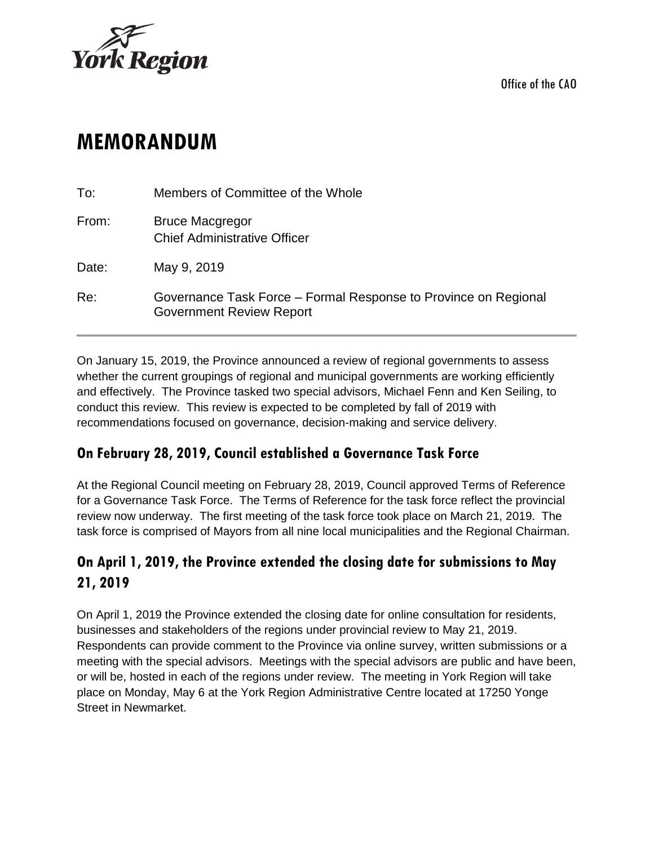

Office of the CAO

# **MEMORANDUM**

| To:   | Members of Committee of the Whole                                                                  |
|-------|----------------------------------------------------------------------------------------------------|
| From: | <b>Bruce Macgregor</b><br><b>Chief Administrative Officer</b>                                      |
| Date: | May 9, 2019                                                                                        |
| Re:   | Governance Task Force – Formal Response to Province on Regional<br><b>Government Review Report</b> |

On January 15, 2019, the Province announced a review of regional governments to assess whether the current groupings of regional and municipal governments are working efficiently and effectively. The Province tasked two special advisors, Michael Fenn and Ken Seiling, to conduct this review. This review is expected to be completed by fall of 2019 with recommendations focused on governance, decision-making and service delivery.

### **On February 28, 2019, Council established a Governance Task Force**

At the Regional Council meeting on February 28, 2019, Council approved Terms of Reference for a Governance Task Force. The Terms of Reference for the task force reflect the provincial review now underway. The first meeting of the task force took place on March 21, 2019. The task force is comprised of Mayors from all nine local municipalities and the Regional Chairman.

## **On April 1, 2019, the Province extended the closing date for submissions to May 21, 2019**

On April 1, 2019 the Province extended the closing date for online consultation for residents, businesses and stakeholders of the regions under provincial review to May 21, 2019. Respondents can provide comment to the Province via online survey, written submissions or a meeting with the special advisors. Meetings with the special advisors are public and have been, or will be, hosted in each of the regions under review. The meeting in York Region will take place on Monday, May 6 at the York Region Administrative Centre located at 17250 Yonge Street in Newmarket.